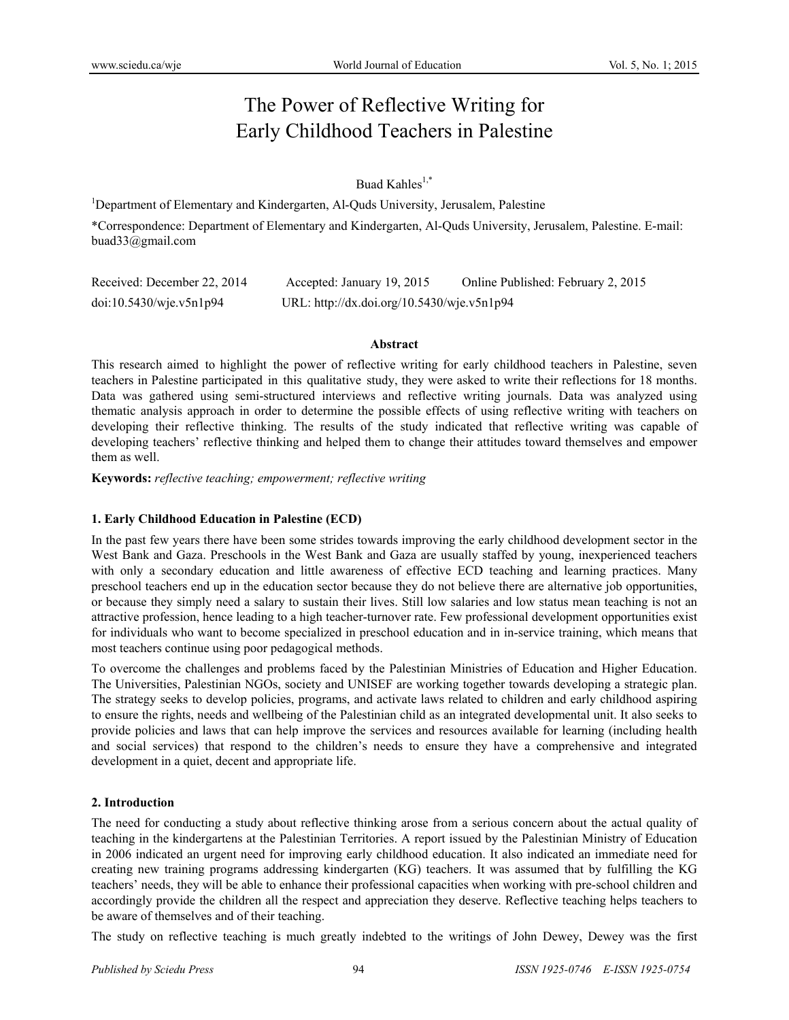# The Power of Reflective Writing for Early Childhood Teachers in Palestine

# Buad Kahles<sup>1,\*</sup>

<sup>1</sup>Department of Elementary and Kindergarten, Al-Quds University, Jerusalem, Palestine

\*Correspondence: Department of Elementary and Kindergarten, Al-Quds University, Jerusalem, Palestine. E-mail: buad33@gmail.com

| Received: December 22, 2014 | Accepted: January 19, 2015                 | Online Published: February 2, 2015 |
|-----------------------------|--------------------------------------------|------------------------------------|
| doi:10.5430/wje.v5n1p94     | URL: http://dx.doi.org/10.5430/wje.v5n1p94 |                                    |

#### **Abstract**

This research aimed to highlight the power of reflective writing for early childhood teachers in Palestine, seven teachers in Palestine participated in this qualitative study, they were asked to write their reflections for 18 months. Data was gathered using semi-structured interviews and reflective writing journals. Data was analyzed using thematic analysis approach in order to determine the possible effects of using reflective writing with teachers on developing their reflective thinking. The results of the study indicated that reflective writing was capable of developing teachers' reflective thinking and helped them to change their attitudes toward themselves and empower them as well.

**Keywords:** *reflective teaching; empowerment; reflective writing*

# **1. Early Childhood Education in Palestine (ECD)**

In the past few years there have been some strides towards improving the early childhood development sector in the West Bank and Gaza. Preschools in the West Bank and Gaza are usually staffed by young, inexperienced teachers with only a secondary education and little awareness of effective ECD teaching and learning practices. Many preschool teachers end up in the education sector because they do not believe there are alternative job opportunities, or because they simply need a salary to sustain their lives. Still low salaries and low status mean teaching is not an attractive profession, hence leading to a high teacher-turnover rate. Few professional development opportunities exist for individuals who want to become specialized in preschool education and in in-service training, which means that most teachers continue using poor pedagogical methods.

To overcome the challenges and problems faced by the Palestinian Ministries of Education and Higher Education. The Universities, Palestinian NGOs, society and UNISEF are working together towards developing a strategic plan. The strategy seeks to develop policies, programs, and activate laws related to children and early childhood aspiring to ensure the rights, needs and wellbeing of the Palestinian child as an integrated developmental unit. It also seeks to provide policies and laws that can help improve the services and resources available for learning (including health and social services) that respond to the children's needs to ensure they have a comprehensive and integrated development in a quiet, decent and appropriate life.

# **2. Introduction**

The need for conducting a study about reflective thinking arose from a serious concern about the actual quality of teaching in the kindergartens at the Palestinian Territories. A report issued by the Palestinian Ministry of Education in 2006 indicated an urgent need for improving early childhood education. It also indicated an immediate need for creating new training programs addressing kindergarten (KG) teachers. It was assumed that by fulfilling the KG teachers' needs, they will be able to enhance their professional capacities when working with pre-school children and accordingly provide the children all the respect and appreciation they deserve. Reflective teaching helps teachers to be aware of themselves and of their teaching.

The study on reflective teaching is much greatly indebted to the writings of John Dewey, Dewey was the first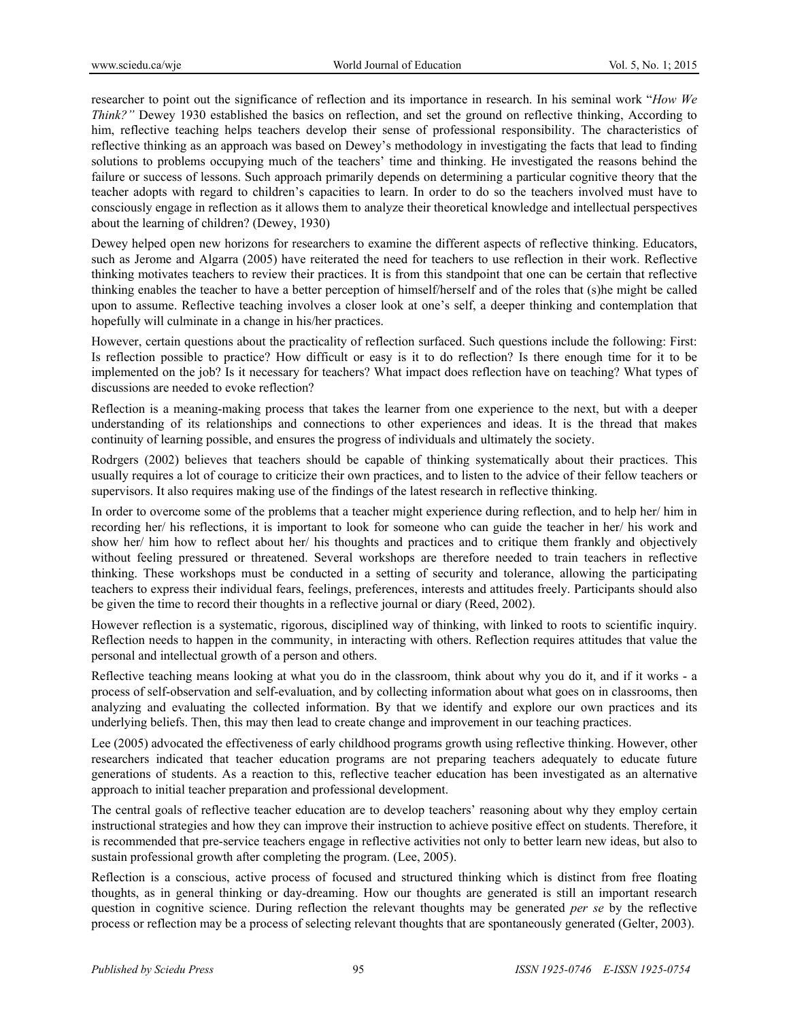researcher to point out the significance of reflection and its importance in research. In his seminal work "*How We Think?"* Dewey 1930 established the basics on reflection, and set the ground on reflective thinking, According to him, reflective teaching helps teachers develop their sense of professional responsibility. The characteristics of reflective thinking as an approach was based on Dewey's methodology in investigating the facts that lead to finding solutions to problems occupying much of the teachers' time and thinking. He investigated the reasons behind the failure or success of lessons. Such approach primarily depends on determining a particular cognitive theory that the teacher adopts with regard to children's capacities to learn. In order to do so the teachers involved must have to consciously engage in reflection as it allows them to analyze their theoretical knowledge and intellectual perspectives about the learning of children? (Dewey, 1930)

Dewey helped open new horizons for researchers to examine the different aspects of reflective thinking. Educators, such as Jerome and Algarra (2005) have reiterated the need for teachers to use reflection in their work. Reflective thinking motivates teachers to review their practices. It is from this standpoint that one can be certain that reflective thinking enables the teacher to have a better perception of himself/herself and of the roles that (s)he might be called upon to assume. Reflective teaching involves a closer look at one's self, a deeper thinking and contemplation that hopefully will culminate in a change in his/her practices.

However, certain questions about the practicality of reflection surfaced. Such questions include the following: First: Is reflection possible to practice? How difficult or easy is it to do reflection? Is there enough time for it to be implemented on the job? Is it necessary for teachers? What impact does reflection have on teaching? What types of discussions are needed to evoke reflection?

Reflection is a meaning-making process that takes the learner from one experience to the next, but with a deeper understanding of its relationships and connections to other experiences and ideas. It is the thread that makes continuity of learning possible, and ensures the progress of individuals and ultimately the society.

Rodrgers (2002) believes that teachers should be capable of thinking systematically about their practices. This usually requires a lot of courage to criticize their own practices, and to listen to the advice of their fellow teachers or supervisors. It also requires making use of the findings of the latest research in reflective thinking.

In order to overcome some of the problems that a teacher might experience during reflection, and to help her/ him in recording her/ his reflections, it is important to look for someone who can guide the teacher in her/ his work and show her/ him how to reflect about her/ his thoughts and practices and to critique them frankly and objectively without feeling pressured or threatened. Several workshops are therefore needed to train teachers in reflective thinking. These workshops must be conducted in a setting of security and tolerance, allowing the participating teachers to express their individual fears, feelings, preferences, interests and attitudes freely. Participants should also be given the time to record their thoughts in a reflective journal or diary (Reed, 2002).

However reflection is a systematic, rigorous, disciplined way of thinking, with linked to roots to scientific inquiry. Reflection needs to happen in the community, in interacting with others. Reflection requires attitudes that value the personal and intellectual growth of a person and others.

Reflective teaching means looking at what you do in the classroom, think about why you do it, and if it works - a process of self-observation and self-evaluation, and by collecting information about what goes on in classrooms, then analyzing and evaluating the collected information. By that we identify and explore our own practices and its underlying beliefs. Then, this may then lead to create change and improvement in our teaching practices.

Lee (2005) advocated the effectiveness of early childhood programs growth using reflective thinking. However, other researchers indicated that teacher education programs are not preparing teachers adequately to educate future generations of students. As a reaction to this, reflective teacher education has been investigated as an alternative approach to initial teacher preparation and professional development.

The central goals of reflective teacher education are to develop teachers' reasoning about why they employ certain instructional strategies and how they can improve their instruction to achieve positive effect on students. Therefore, it is recommended that pre-service teachers engage in reflective activities not only to better learn new ideas, but also to sustain professional growth after completing the program. (Lee, 2005).

Reflection is a conscious, active process of focused and structured thinking which is distinct from free floating thoughts, as in general thinking or day-dreaming. How our thoughts are generated is still an important research question in cognitive science. During reflection the relevant thoughts may be generated *per se* by the reflective process or reflection may be a process of selecting relevant thoughts that are spontaneously generated (Gelter, 2003).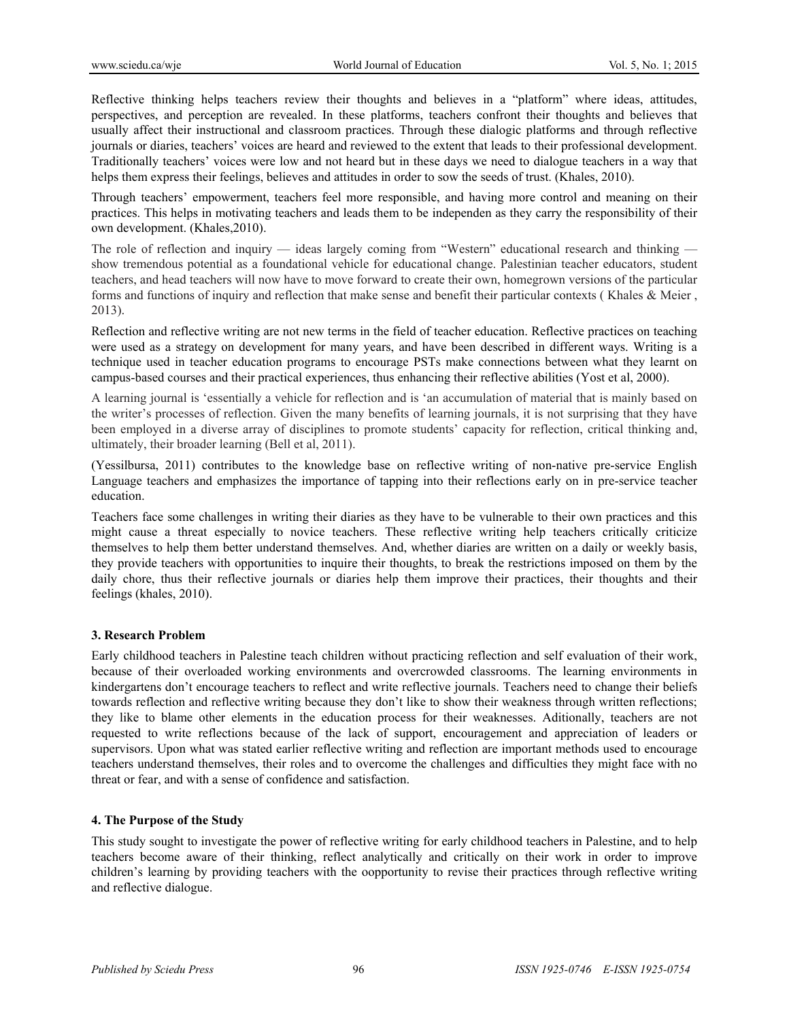Reflective thinking helps teachers review their thoughts and believes in a "platform" where ideas, attitudes, perspectives, and perception are revealed. In these platforms, teachers confront their thoughts and believes that usually affect their instructional and classroom practices. Through these dialogic platforms and through reflective journals or diaries, teachers' voices are heard and reviewed to the extent that leads to their professional development. Traditionally teachers' voices were low and not heard but in these days we need to dialogue teachers in a way that helps them express their feelings, believes and attitudes in order to sow the seeds of trust. (Khales, 2010).

Through teachers' empowerment, teachers feel more responsible, and having more control and meaning on their practices. This helps in motivating teachers and leads them to be independen as they carry the responsibility of their own development. (Khales,2010).

The role of reflection and inquiry — ideas largely coming from "Western" educational research and thinking show tremendous potential as a foundational vehicle for educational change. Palestinian teacher educators, student teachers, and head teachers will now have to move forward to create their own, homegrown versions of the particular forms and functions of inquiry and reflection that make sense and benefit their particular contexts ( Khales & Meier , 2013).

Reflection and reflective writing are not new terms in the field of teacher education. Reflective practices on teaching were used as a strategy on development for many years, and have been described in different ways. Writing is a technique used in teacher education programs to encourage PSTs make connections between what they learnt on campus-based courses and their practical experiences, thus enhancing their reflective abilities (Yost et al, 2000).

A learning journal is 'essentially a vehicle for reflection and is 'an accumulation of material that is mainly based on the writer's processes of reflection. Given the many benefits of learning journals, it is not surprising that they have been employed in a diverse array of disciplines to promote students' capacity for reflection, critical thinking and, ultimately, their broader learning (Bell et al, 2011).

(Yessilbursa, 2011) contributes to the knowledge base on reflective writing of non-native pre-service English Language teachers and emphasizes the importance of tapping into their reflections early on in pre-service teacher education.

Teachers face some challenges in writing their diaries as they have to be vulnerable to their own practices and this might cause a threat especially to novice teachers. These reflective writing help teachers critically criticize themselves to help them better understand themselves. And, whether diaries are written on a daily or weekly basis, they provide teachers with opportunities to inquire their thoughts, to break the restrictions imposed on them by the daily chore, thus their reflective journals or diaries help them improve their practices, their thoughts and their feelings (khales, 2010).

# **3. Research Problem**

Early childhood teachers in Palestine teach children without practicing reflection and self evaluation of their work, because of their overloaded working environments and overcrowded classrooms. The learning environments in kindergartens don't encourage teachers to reflect and write reflective journals. Teachers need to change their beliefs towards reflection and reflective writing because they don't like to show their weakness through written reflections; they like to blame other elements in the education process for their weaknesses. Aditionally, teachers are not requested to write reflections because of the lack of support, encouragement and appreciation of leaders or supervisors. Upon what was stated earlier reflective writing and reflection are important methods used to encourage teachers understand themselves, their roles and to overcome the challenges and difficulties they might face with no threat or fear, and with a sense of confidence and satisfaction.

# **4. The Purpose of the Study**

This study sought to investigate the power of reflective writing for early childhood teachers in Palestine, and to help teachers become aware of their thinking, reflect analytically and critically on their work in order to improve children's learning by providing teachers with the oopportunity to revise their practices through reflective writing and reflective dialogue.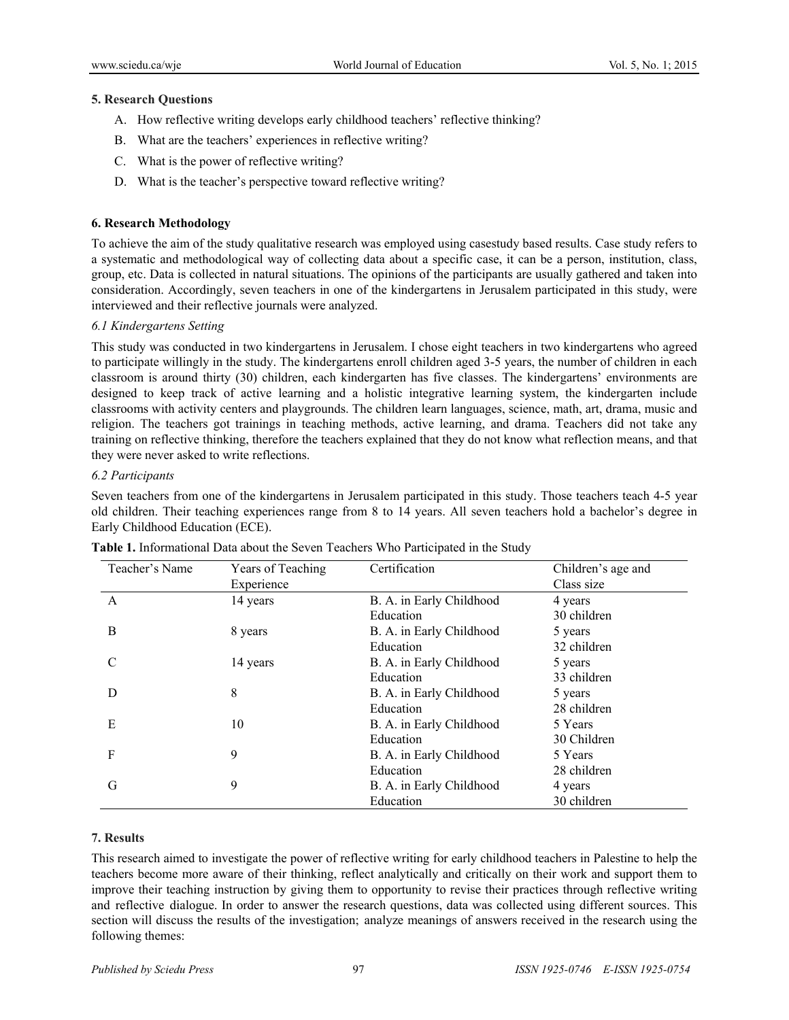#### **5. Research Questions**

- A. How reflective writing develops early childhood teachers' reflective thinking?
- B. What are the teachers' experiences in reflective writing?
- C. What is the power of reflective writing?
- D. What is the teacher's perspective toward reflective writing?

# **6. Research Methodology**

To achieve the aim of the study qualitative research was employed using casestudy based results. Case study refers to a systematic and methodological way of collecting data about a specific case, it can be a person, institution, class, group, etc. Data is collected in natural situations. The opinions of the participants are usually gathered and taken into consideration. Accordingly, seven teachers in one of the kindergartens in Jerusalem participated in this study, were interviewed and their reflective journals were analyzed.

# *6.1 Kindergartens Setting*

This study was conducted in two kindergartens in Jerusalem. I chose eight teachers in two kindergartens who agreed to participate willingly in the study. The kindergartens enroll children aged 3-5 years, the number of children in each classroom is around thirty (30) children, each kindergarten has five classes. The kindergartens' environments are designed to keep track of active learning and a holistic integrative learning system, the kindergarten include classrooms with activity centers and playgrounds. The children learn languages, science, math, art, drama, music and religion. The teachers got trainings in teaching methods, active learning, and drama. Teachers did not take any training on reflective thinking, therefore the teachers explained that they do not know what reflection means, and that they were never asked to write reflections.

#### *6.2 Participants*

Seven teachers from one of the kindergartens in Jerusalem participated in this study. Those teachers teach 4-5 year old children. Their teaching experiences range from 8 to 14 years. All seven teachers hold a bachelor's degree in Early Childhood Education (ECE).

| Teacher's Name | Years of Teaching | Certification            | Children's age and |
|----------------|-------------------|--------------------------|--------------------|
|                | Experience        |                          | Class size         |
| A              | 14 years          | B. A. in Early Childhood | 4 years            |
|                |                   | Education                | 30 children        |
| B              | 8 years           | B. A. in Early Childhood | 5 years            |
|                |                   | Education                | 32 children        |
| C              | 14 years          | B. A. in Early Childhood | 5 years            |
|                |                   | Education                | 33 children        |
| D              | 8                 | B. A. in Early Childhood | 5 years            |
|                |                   | Education                | 28 children        |
| Е              | 10                | B. A. in Early Childhood | 5 Years            |
|                |                   | Education                | 30 Children        |
| F              | 9                 | B. A. in Early Childhood | 5 Years            |
|                |                   | Education                | 28 children        |
| G              | 9                 | B. A. in Early Childhood | 4 years            |
|                |                   | Education                | 30 children        |

# **Table 1.** Informational Data about the Seven Teachers Who Participated in the Study

# **7. Results**

This research aimed to investigate the power of reflective writing for early childhood teachers in Palestine to help the teachers become more aware of their thinking, reflect analytically and critically on their work and support them to improve their teaching instruction by giving them to opportunity to revise their practices through reflective writing and reflective dialogue. In order to answer the research questions, data was collected using different sources. This section will discuss the results of the investigation; analyze meanings of answers received in the research using the following themes: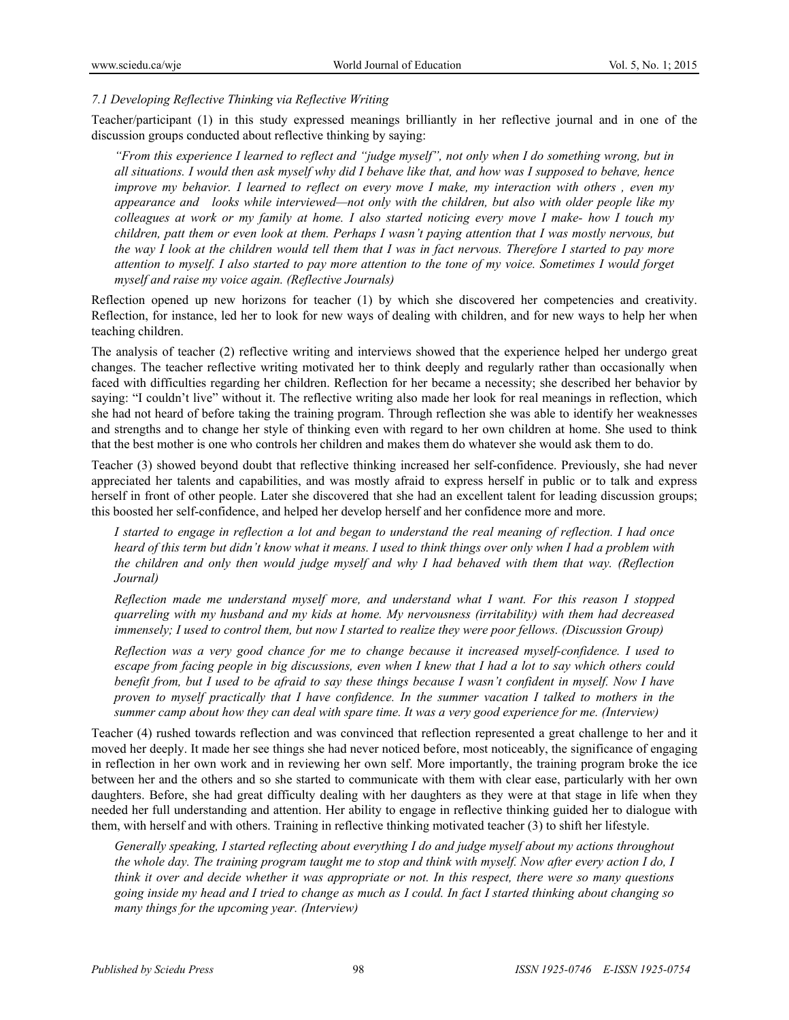#### *7.1 Developing Reflective Thinking via Reflective Writing*

Teacher/participant (1) in this study expressed meanings brilliantly in her reflective journal and in one of the discussion groups conducted about reflective thinking by saying:

*"From this experience I learned to reflect and "judge myself", not only when I do something wrong, but in all situations. I would then ask myself why did I behave like that, and how was I supposed to behave, hence improve my behavior. I learned to reflect on every move I make, my interaction with others , even my appearance and looks while interviewed—not only with the children, but also with older people like my colleagues at work or my family at home. I also started noticing every move I make- how I touch my children, patt them or even look at them. Perhaps I wasn't paying attention that I was mostly nervous, but the way I look at the children would tell them that I was in fact nervous. Therefore I started to pay more attention to myself. I also started to pay more attention to the tone of my voice. Sometimes I would forget myself and raise my voice again. (Reflective Journals)* 

Reflection opened up new horizons for teacher (1) by which she discovered her competencies and creativity. Reflection, for instance, led her to look for new ways of dealing with children, and for new ways to help her when teaching children.

The analysis of teacher (2) reflective writing and interviews showed that the experience helped her undergo great changes. The teacher reflective writing motivated her to think deeply and regularly rather than occasionally when faced with difficulties regarding her children. Reflection for her became a necessity; she described her behavior by saying: "I couldn't live" without it. The reflective writing also made her look for real meanings in reflection, which she had not heard of before taking the training program. Through reflection she was able to identify her weaknesses and strengths and to change her style of thinking even with regard to her own children at home. She used to think that the best mother is one who controls her children and makes them do whatever she would ask them to do.

Teacher (3) showed beyond doubt that reflective thinking increased her self-confidence. Previously, she had never appreciated her talents and capabilities, and was mostly afraid to express herself in public or to talk and express herself in front of other people. Later she discovered that she had an excellent talent for leading discussion groups; this boosted her self-confidence, and helped her develop herself and her confidence more and more.

*I started to engage in reflection a lot and began to understand the real meaning of reflection. I had once heard of this term but didn't know what it means. I used to think things over only when I had a problem with the children and only then would judge myself and why I had behaved with them that way. (Reflection Journal)* 

*Reflection made me understand myself more, and understand what I want. For this reason I stopped quarreling with my husband and my kids at home. My nervousness (irritability) with them had decreased immensely; I used to control them, but now I started to realize they were poor fellows. (Discussion Group)* 

*Reflection was a very good chance for me to change because it increased myself-confidence. I used to escape from facing people in big discussions, even when I knew that I had a lot to say which others could benefit from, but I used to be afraid to say these things because I wasn't confident in myself. Now I have proven to myself practically that I have confidence. In the summer vacation I talked to mothers in the summer camp about how they can deal with spare time. It was a very good experience for me. (Interview)* 

Teacher (4) rushed towards reflection and was convinced that reflection represented a great challenge to her and it moved her deeply. It made her see things she had never noticed before, most noticeably, the significance of engaging in reflection in her own work and in reviewing her own self. More importantly, the training program broke the ice between her and the others and so she started to communicate with them with clear ease, particularly with her own daughters. Before, she had great difficulty dealing with her daughters as they were at that stage in life when they needed her full understanding and attention. Her ability to engage in reflective thinking guided her to dialogue with them, with herself and with others. Training in reflective thinking motivated teacher (3) to shift her lifestyle.

*Generally speaking, I started reflecting about everything I do and judge myself about my actions throughout the whole day. The training program taught me to stop and think with myself. Now after every action I do, I think it over and decide whether it was appropriate or not. In this respect, there were so many questions going inside my head and I tried to change as much as I could. In fact I started thinking about changing so many things for the upcoming year. (Interview)*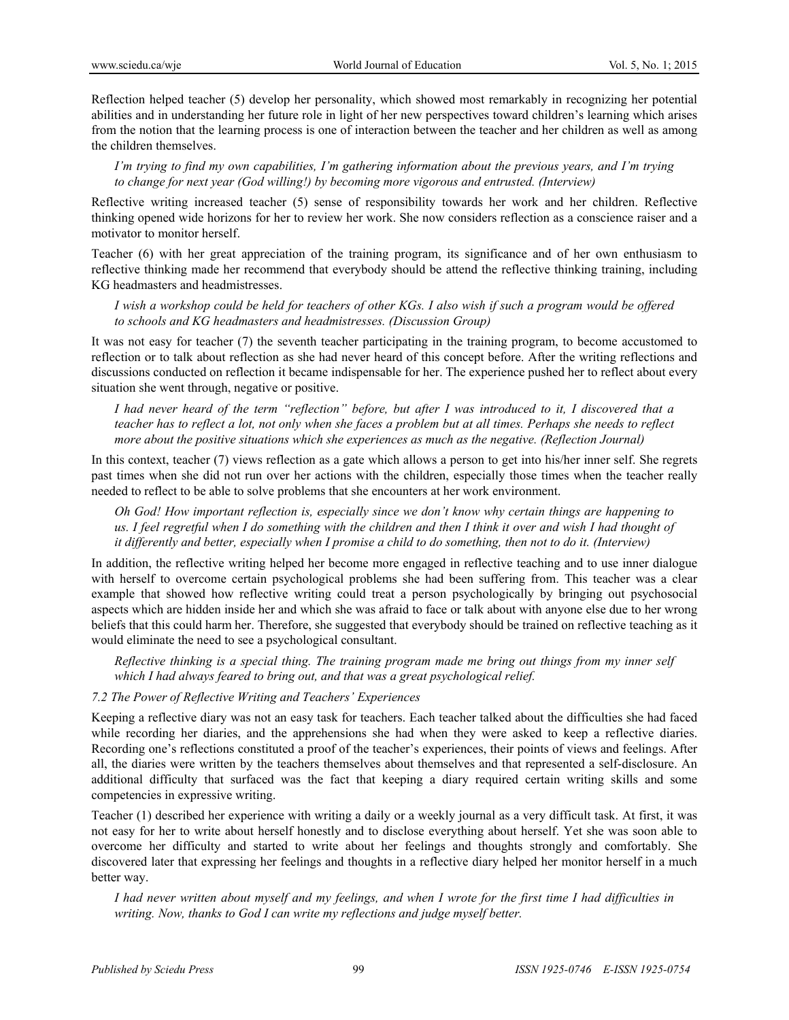Reflection helped teacher (5) develop her personality, which showed most remarkably in recognizing her potential abilities and in understanding her future role in light of her new perspectives toward children's learning which arises from the notion that the learning process is one of interaction between the teacher and her children as well as among the children themselves.

*I'm trying to find my own capabilities, I'm gathering information about the previous years, and I'm trying to change for next year (God willing!) by becoming more vigorous and entrusted. (Interview)* 

Reflective writing increased teacher (5) sense of responsibility towards her work and her children. Reflective thinking opened wide horizons for her to review her work. She now considers reflection as a conscience raiser and a motivator to monitor herself.

Teacher (6) with her great appreciation of the training program, its significance and of her own enthusiasm to reflective thinking made her recommend that everybody should be attend the reflective thinking training, including KG headmasters and headmistresses.

*I wish a workshop could be held for teachers of other KGs. I also wish if such a program would be offered to schools and KG headmasters and headmistresses. (Discussion Group)*

It was not easy for teacher (7) the seventh teacher participating in the training program, to become accustomed to reflection or to talk about reflection as she had never heard of this concept before. After the writing reflections and discussions conducted on reflection it became indispensable for her. The experience pushed her to reflect about every situation she went through, negative or positive.

*I had never heard of the term "reflection" before, but after I was introduced to it, I discovered that a teacher has to reflect a lot, not only when she faces a problem but at all times. Perhaps she needs to reflect more about the positive situations which she experiences as much as the negative. (Reflection Journal)* 

In this context, teacher (7) views reflection as a gate which allows a person to get into his/her inner self. She regrets past times when she did not run over her actions with the children, especially those times when the teacher really needed to reflect to be able to solve problems that she encounters at her work environment.

*Oh God! How important reflection is, especially since we don't know why certain things are happening to us. I feel regretful when I do something with the children and then I think it over and wish I had thought of it differently and better, especially when I promise a child to do something, then not to do it. (Interview)* 

In addition, the reflective writing helped her become more engaged in reflective teaching and to use inner dialogue with herself to overcome certain psychological problems she had been suffering from. This teacher was a clear example that showed how reflective writing could treat a person psychologically by bringing out psychosocial aspects which are hidden inside her and which she was afraid to face or talk about with anyone else due to her wrong beliefs that this could harm her. Therefore, she suggested that everybody should be trained on reflective teaching as it would eliminate the need to see a psychological consultant.

*Reflective thinking is a special thing. The training program made me bring out things from my inner self which I had always feared to bring out, and that was a great psychological relief.* 

# *7.2 The Power of Reflective Writing and Teachers' Experiences*

Keeping a reflective diary was not an easy task for teachers. Each teacher talked about the difficulties she had faced while recording her diaries, and the apprehensions she had when they were asked to keep a reflective diaries. Recording one's reflections constituted a proof of the teacher's experiences, their points of views and feelings. After all, the diaries were written by the teachers themselves about themselves and that represented a self-disclosure. An additional difficulty that surfaced was the fact that keeping a diary required certain writing skills and some competencies in expressive writing.

Teacher (1) described her experience with writing a daily or a weekly journal as a very difficult task. At first, it was not easy for her to write about herself honestly and to disclose everything about herself. Yet she was soon able to overcome her difficulty and started to write about her feelings and thoughts strongly and comfortably. She discovered later that expressing her feelings and thoughts in a reflective diary helped her monitor herself in a much better way.

*I had never written about myself and my feelings, and when I wrote for the first time I had difficulties in writing. Now, thanks to God I can write my reflections and judge myself better.*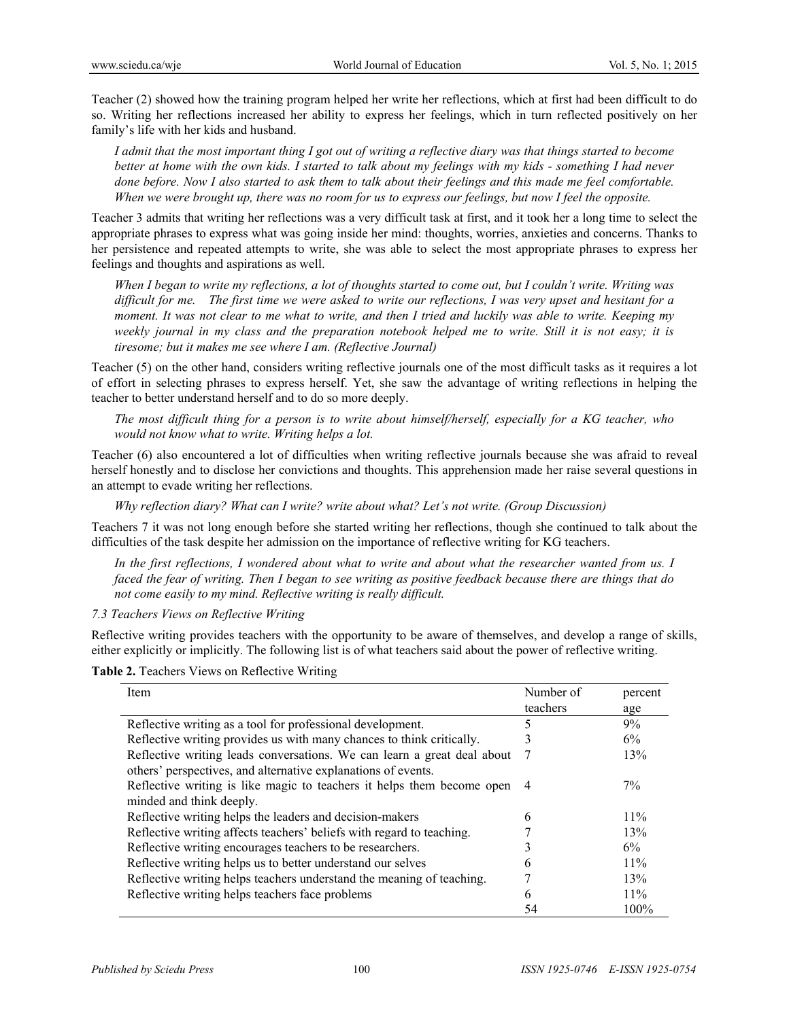Teacher (2) showed how the training program helped her write her reflections, which at first had been difficult to do so. Writing her reflections increased her ability to express her feelings, which in turn reflected positively on her family's life with her kids and husband.

*I admit that the most important thing I got out of writing a reflective diary was that things started to become better at home with the own kids. I started to talk about my feelings with my kids - something I had never done before. Now I also started to ask them to talk about their feelings and this made me feel comfortable. When we were brought up, there was no room for us to express our feelings, but now I feel the opposite.* 

Teacher 3 admits that writing her reflections was a very difficult task at first, and it took her a long time to select the appropriate phrases to express what was going inside her mind: thoughts, worries, anxieties and concerns. Thanks to her persistence and repeated attempts to write, she was able to select the most appropriate phrases to express her feelings and thoughts and aspirations as well.

*When I began to write my reflections, a lot of thoughts started to come out, but I couldn't write. Writing was difficult for me. The first time we were asked to write our reflections, I was very upset and hesitant for a moment. It was not clear to me what to write, and then I tried and luckily was able to write. Keeping my weekly journal in my class and the preparation notebook helped me to write. Still it is not easy; it is tiresome; but it makes me see where I am. (Reflective Journal)* 

Teacher (5) on the other hand, considers writing reflective journals one of the most difficult tasks as it requires a lot of effort in selecting phrases to express herself. Yet, she saw the advantage of writing reflections in helping the teacher to better understand herself and to do so more deeply.

*The most difficult thing for a person is to write about himself/herself, especially for a KG teacher, who would not know what to write. Writing helps a lot.* 

Teacher (6) also encountered a lot of difficulties when writing reflective journals because she was afraid to reveal herself honestly and to disclose her convictions and thoughts. This apprehension made her raise several questions in an attempt to evade writing her reflections.

*Why reflection diary? What can I write? write about what? Let's not write. (Group Discussion)* 

Teachers 7 it was not long enough before she started writing her reflections, though she continued to talk about the difficulties of the task despite her admission on the importance of reflective writing for KG teachers.

*In the first reflections, I wondered about what to write and about what the researcher wanted from us. I faced the fear of writing. Then I began to see writing as positive feedback because there are things that do not come easily to my mind. Reflective writing is really difficult.* 

*7.3 Teachers Views on Reflective Writing* 

Reflective writing provides teachers with the opportunity to be aware of themselves, and develop a range of skills, either explicitly or implicitly. The following list is of what teachers said about the power of reflective writing.

**Table 2.** Teachers Views on Reflective Writing

| Item                                                                                                                                     | Number of | percent |
|------------------------------------------------------------------------------------------------------------------------------------------|-----------|---------|
|                                                                                                                                          | teachers  | age     |
| Reflective writing as a tool for professional development.                                                                               |           | 9%      |
| Reflective writing provides us with many chances to think critically.                                                                    |           | 6%      |
| Reflective writing leads conversations. We can learn a great deal about<br>others' perspectives, and alternative explanations of events. | 7         | 13%     |
| Reflective writing is like magic to teachers it helps them become open<br>minded and think deeply.                                       | 4         | 7%      |
| Reflective writing helps the leaders and decision-makers                                                                                 | 6         | $11\%$  |
| Reflective writing affects teachers' beliefs with regard to teaching.                                                                    |           | 13%     |
| Reflective writing encourages teachers to be researchers.                                                                                |           | 6%      |
| Reflective writing helps us to better understand our selves                                                                              | h         | 11%     |
| Reflective writing helps teachers understand the meaning of teaching.                                                                    |           | 13%     |
| Reflective writing helps teachers face problems                                                                                          | 6         | $11\%$  |
|                                                                                                                                          | 54        | 100%    |